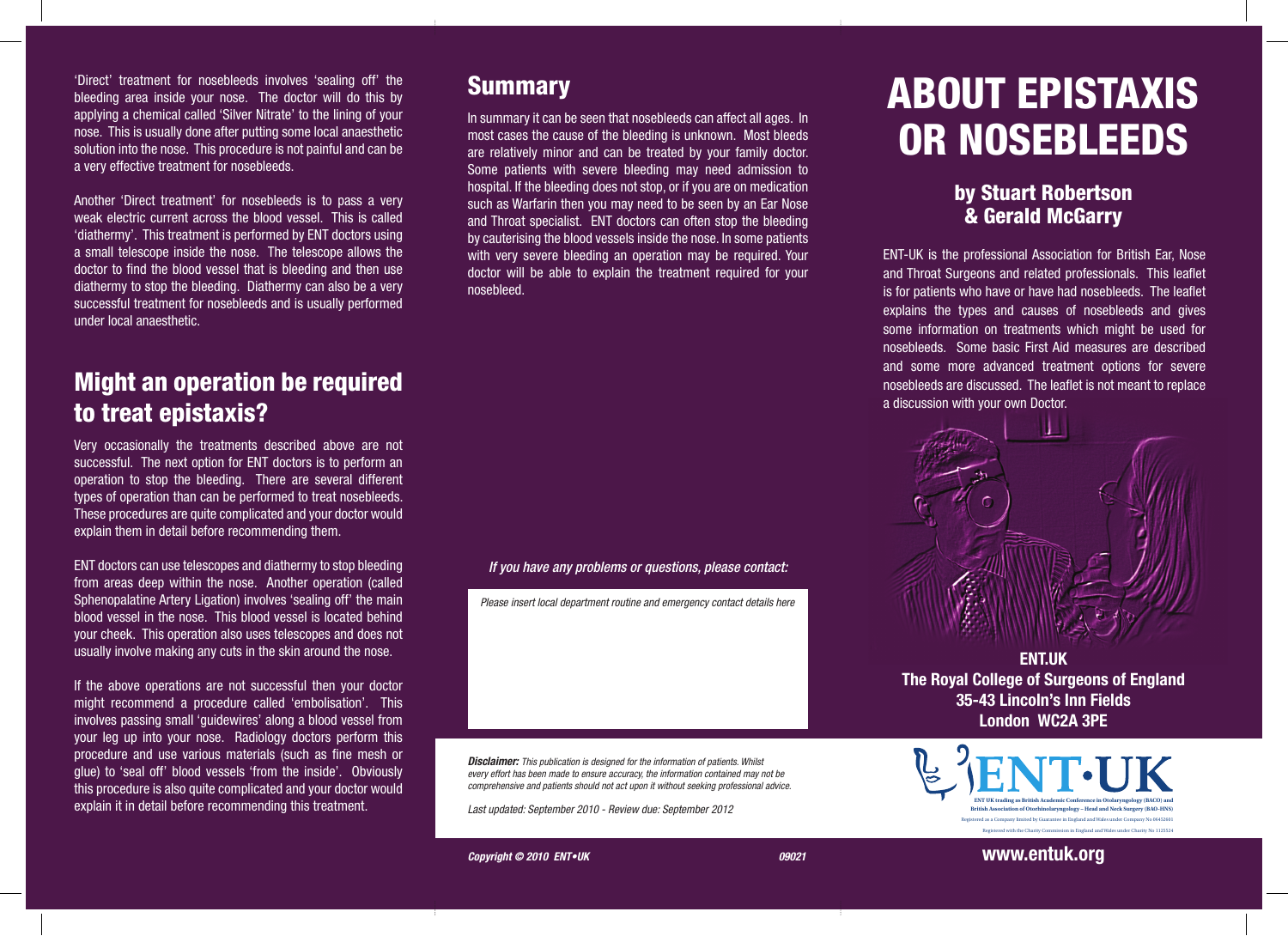'Direct' treatment for nosebleeds involves 'sealing off' the bleeding area inside your nose. The doctor will do this by applying a chemical called 'Silver Nitrate' to the lining of your nose. This is usually done after putting some local anaesthetic solution into the nose. This procedure is not painful and can be a very effective treatment for nosebleeds.

Another 'Direct treatment' for nosebleeds is to pass a very weak electric current across the blood vessel. This is called 'diathermy'. This treatment is performed by ENT doctors using a small telescope inside the nose. The telescope allows the doctor to find the blood vessel that is bleeding and then use diathermy to stop the bleeding. Diathermy can also be a very successful treatment for nosebleeds and is usually performed under local anaesthetic.

#### Might an operation be required to treat epistaxis?

Very occasionally the treatments described above are not successful. The next option for ENT doctors is to perform an operation to stop the bleeding. There are several different types of operation than can be performed to treat nosebleeds. These procedures are quite complicated and your doctor would explain them in detail before recommending them.

ENT doctors can use telescopes and diathermy to stop bleeding from areas deep within the nose. Another operation (called Sphenopalatine Artery Ligation) involves 'sealing off' the main blood vessel in the nose. This blood vessel is located behind your cheek. This operation also uses telescopes and does not usually involve making any cuts in the skin around the nose.

If the above operations are not successful then your doctor might recommend a procedure called 'embolisation'. This involves passing small 'guidewires' along a blood vessel from your leg up into your nose. Radiology doctors perform this procedure and use various materials (such as fine mesh or glue) to 'seal off' blood vessels 'from the inside'. Obviously this procedure is also quite complicated and your doctor would explain it in detail before recommending this treatment.

#### **Summary**

In summary it can be seen that nosebleeds can affect all ages. In most cases the cause of the bleeding is unknown. Most bleeds are relatively minor and can be treated by your family doctor. Some patients with severe bleeding may need admission to hospital. If the bleeding does not stop, or if you are on medication such as Warfarin then you may need to be seen by an Ear Nose and Throat specialist. ENT doctors can often stop the bleeding by cauterising the blood vessels inside the nose. In some patients with very severe bleeding an operation may be required. Your doctor will be able to explain the treatment required for your nosebleed.

#### *If you have any problems or questions, please contact:*

*Please insert local department routine and emergency contact details here*

*Disclaimer: This publication is designed for the information of patients. Whilst every effort has been made to ensure accuracy, the information contained may not be comprehensive and patients should not act upon it without seeking professional advice.*

*Last updated: September 2010 - Review due: September 2012* 

# ABOUT EPISTAXIS OR NOSEBLEEDS

#### by Stuart Robertson & Gerald McGarry

ENT-UK is the professional Association for British Ear, Nose and Throat Surgeons and related professionals. This leaflet is for patients who have or have had nosebleeds. The leaflet explains the types and causes of nosebleeds and gives some information on treatments which might be used for nosebleeds. Some basic First Aid measures are described and some more advanced treatment options for severe nosebleeds are discussed. The leaflet is not meant to replace a discussion with your own Doctor.



**ENT.UK The Royal College of Surgeons of England 35-43 Lincoln's Inn Fields London WC2A 3PE**



**Copyright © 2010 ENT•UK** 09021

**www.entuk.org**